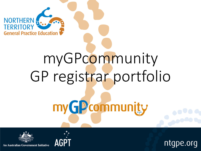

# myGPcommunity GP registrar portfolio

myGPcommunity





ntgpe.org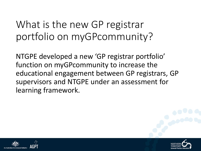## What is the new GP registrar portfolio on myGPcommunity?

NTGPE developed a new 'GP registrar portfolio' function on myGPcommunity to increase the educational engagement between GP registrars, GP supervisors and NTGPE under an assessment for learning framework.



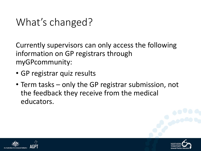## What's changed?

Currently supervisors can only access the following information on GP registrars through myGPcommunity:

- GP registrar quiz results
- Term tasks only the GP registrar submission, not the feedback they receive from the medical educators.



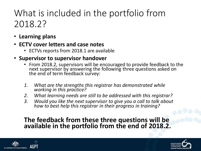### What is included in the portfolio from 2018.2?

- **Learning plans**
- **ECTV cover letters and case notes**
	- ECTVs reports from 2018.1 are available

#### • **Supervisor to supervisor handover**

- From 2018.2, supervisors will be encouraged to provide feedback to the next supervisor by answering the following three questions asked on the end of term feedback survey:
- *1. What are the strengths this registrar has demonstrated while working in this practice?*
- *2. What learning needs are still to be addressed with this registrar?*
- *3. Would you like the next supervisor to give you a call to talk about how to best help this registrar in their progress in training?*

#### **The feedback from these three questions will be available in the portfolio from the end of 2018.2.**



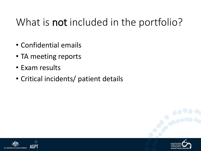## What is **not** included in the portfolio?

- Confidential emails
- TA meeting reports
- Exam results
- Critical incidents/ patient details



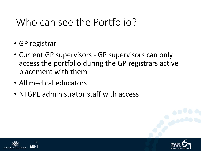## Who can see the Portfolio?

- GP registrar
- Current GP supervisors GP supervisors can only access the portfolio during the GP registrars active placement with them
- All medical educators
- NTGPE administrator staff with access



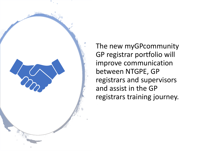The new myGPcommunity GP registrar portfolio will improve communication between NTGPE, GP registrars and supervisors and assist in the GP registrars training journey.